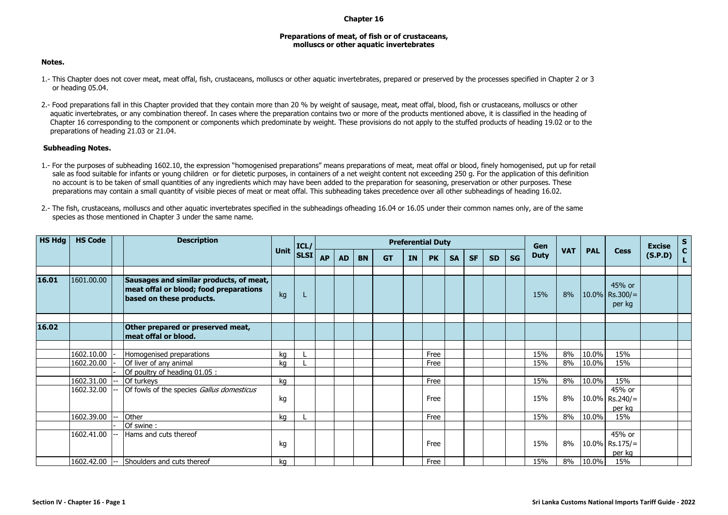## **Chapter 16**

## **Preparations of meat, of fish or of crustaceans, molluscs or other aquatic invertebrates**

## **Notes.**

- 1.- This Chapter does not cover meat, meat offal, fish, crustaceans, molluscs or other aquatic invertebrates, prepared or preserved by the processes specified in Chapter 2 or 3 or heading 05.04.
- 2.- Food preparations fall in this Chapter provided that they contain more than 20 % by weight of sausage, meat, meat offal, blood, fish or crustaceans, molluscs or other aquatic invertebrates, or any combination thereof. In cases where the preparation contains two or more of the products mentioned above, it is classified in the heading of Chapter 16 corresponding to the component or components which predominate by weight. These provisions do not apply to the stuffed products of heading 19.02 or to the preparations of heading 21.03 or 21.04.

## **Subheading Notes.**

1.- For the purposes of subheading 1602.10, the expression "homogenised preparations" means preparations of meat, meat offal or blood, finely homogenised, put up for retail sale as food suitable for infants or young children or for dietetic purposes, in containers of a net weight content not exceeding 250 g. For the application of this definition no account is to be taken of small quantities of any ingredients which may have been added to the preparation for seasoning, preservation or other purposes. These preparations may contain a small quantity of visible pieces of meat or meat offal. This subheading takes precedence over all other subheadings of heading 16.02.

| 2.- The fish, crustaceans, molluscs and other aquatic invertebrates specified in the subheadings ofheading 16.04 or 16.05 under their common names only, are of the same |  |
|--------------------------------------------------------------------------------------------------------------------------------------------------------------------------|--|
| species as those mentioned in Chapter 3 under the same name.                                                                                                             |  |

| <b>HS Hdg</b> | <b>HS Code</b> | <b>Description</b> |                                                                                                               | ICL/        | <b>Preferential Duty</b> |           |           |           |           |    |           |           |           |           |           | Gen                       |            |             | <b>Excise</b>                         | S |  |
|---------------|----------------|--------------------|---------------------------------------------------------------------------------------------------------------|-------------|--------------------------|-----------|-----------|-----------|-----------|----|-----------|-----------|-----------|-----------|-----------|---------------------------|------------|-------------|---------------------------------------|---|--|
|               |                |                    |                                                                                                               | <b>Unit</b> | <b>SLSI</b>              | <b>AP</b> | <b>AD</b> | <b>BN</b> | <b>GT</b> | IN | <b>PK</b> | <b>SA</b> | <b>SF</b> | <b>SD</b> | <b>SG</b> | <b>VAT</b><br><b>Duty</b> | <b>PAL</b> | <b>Cess</b> | (S.P.D)                               |   |  |
| 16.01         | 1601.00.00     |                    | Sausages and similar products, of meat,<br>meat offal or blood; food preparations<br>based on these products. | kg          |                          |           |           |           |           |    |           |           |           |           |           | 15%                       | 8%         |             | 45% or<br>$10.0\%$ Rs.300/=<br>per kg |   |  |
| 16.02         |                |                    | Other prepared or preserved meat,<br>meat offal or blood.                                                     |             |                          |           |           |           |           |    |           |           |           |           |           |                           |            |             |                                       |   |  |
|               | 1602.10.00     |                    | Homogenised preparations                                                                                      | kg          |                          |           |           |           |           |    | Free      |           |           |           |           | 15%                       | 8%         | 10.0%       | 15%                                   |   |  |
|               | 1602.20.00     |                    | Of liver of any animal                                                                                        | kg          |                          |           |           |           |           |    | Free      |           |           |           |           | 15%                       | 8%         | 10.0%       | 15%                                   |   |  |
|               |                |                    | Of poultry of heading 01.05 :                                                                                 |             |                          |           |           |           |           |    |           |           |           |           |           |                           |            |             |                                       |   |  |
|               | 1602.31.00     |                    | Of turkeys                                                                                                    | kg          |                          |           |           |           |           |    | Free      |           |           |           |           | 15%                       | 8%         | 10.0%       | 15%                                   |   |  |
|               | 1602.32.00     |                    | Of fowls of the species Gallus domesticus                                                                     | kg          |                          |           |           |           |           |    | Free      |           |           |           |           | 15%                       | 8%         |             | 45% or<br>$10.0\%$ Rs.240/=<br>per ka |   |  |
|               | 1602.39.00     |                    | Other                                                                                                         | kg          |                          |           |           |           |           |    | Free      |           |           |           |           | 15%                       | 8%         | 10.0%       | 15%                                   |   |  |
|               |                |                    | Of swine:                                                                                                     |             |                          |           |           |           |           |    |           |           |           |           |           |                           |            |             |                                       |   |  |
|               | 1602.41.00     |                    | Hams and cuts thereof                                                                                         | kg          |                          |           |           |           |           |    | Free      |           |           |           |           | 15%                       | 8%         |             | 45% or<br>$10.0\%$ Rs.175/=<br>per kg |   |  |
|               | 1602.42.00     |                    | Shoulders and cuts thereof                                                                                    | kg          |                          |           |           |           |           |    | Free      |           |           |           |           | 15%                       | 8%         | 10.0%       | 15%                                   |   |  |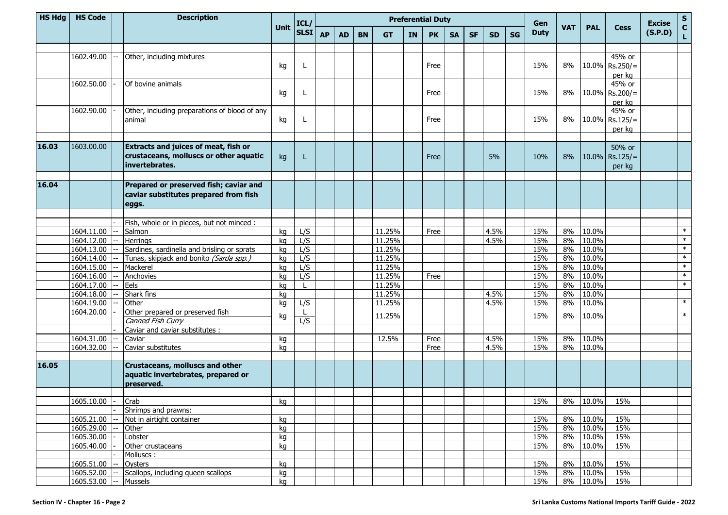| <b>HS Hdg</b> | <b>HS Code</b>           | <b>Description</b>                                       |             | ICL/        |           | <b>Preferential Duty</b><br>Gen |           |                  |           |           |           |           |           |           |             |            | <b>Excise</b>  | ${\sf s}$         |         |                             |
|---------------|--------------------------|----------------------------------------------------------|-------------|-------------|-----------|---------------------------------|-----------|------------------|-----------|-----------|-----------|-----------|-----------|-----------|-------------|------------|----------------|-------------------|---------|-----------------------------|
|               |                          |                                                          | <b>Unit</b> | <b>SLSI</b> | <b>AP</b> | <b>AD</b>                       | <b>BN</b> | <b>GT</b>        | <b>IN</b> | <b>PK</b> | <b>SA</b> | <b>SF</b> | <b>SD</b> | <b>SG</b> | <b>Duty</b> | <b>VAT</b> | <b>PAL</b>     | <b>Cess</b>       | (S.P.D) | $\mathbf{C}$<br>$\mathbf L$ |
|               |                          |                                                          |             |             |           |                                 |           |                  |           |           |           |           |           |           |             |            |                |                   |         |                             |
|               | 1602.49.00               | Other, including mixtures                                |             |             |           |                                 |           |                  |           |           |           |           |           |           |             |            |                | 45% or            |         |                             |
|               |                          |                                                          | kg          | L           |           |                                 |           |                  |           | Free      |           |           |           |           | 15%         | 8%         |                | 10.0% Rs.250/=    |         |                             |
|               |                          |                                                          |             |             |           |                                 |           |                  |           |           |           |           |           |           |             |            |                | per kg            |         |                             |
|               | 1602.50.00               | Of bovine animals                                        |             |             |           |                                 |           |                  |           |           |           |           |           |           |             |            |                | 45% or            |         |                             |
|               |                          |                                                          | kg          | L           |           |                                 |           |                  |           | Free      |           |           |           |           | 15%         | 8%         | 10.0%          | $Rs.200/=$        |         |                             |
|               |                          |                                                          |             |             |           |                                 |           |                  |           |           |           |           |           |           |             |            |                | per kg            |         |                             |
|               | 1602.90.00               | Other, including preparations of blood of any            |             |             |           |                                 |           |                  |           |           |           |           |           |           |             |            |                | 45% or            |         |                             |
|               |                          | animal                                                   | kg          | L           |           |                                 |           |                  |           | Free      |           |           |           |           | 15%         | 8%         |                | 10.0% Rs.125/=    |         |                             |
|               |                          |                                                          |             |             |           |                                 |           |                  |           |           |           |           |           |           |             |            |                | per kg            |         |                             |
| 16.03         | 1603.00.00               |                                                          |             |             |           |                                 |           |                  |           |           |           |           |           |           |             |            |                |                   |         |                             |
|               |                          | Extracts and juices of meat, fish or                     |             |             |           |                                 |           |                  |           |           |           |           |           |           |             |            |                | 50% or            |         |                             |
|               |                          | crustaceans, molluscs or other aquatic<br>invertebrates. | kg          | L           |           |                                 |           |                  |           | Free      |           |           | 5%        |           | 10%         | $8\%$      |                | $10.0\%$ Rs.125/= |         |                             |
|               |                          |                                                          |             |             |           |                                 |           |                  |           |           |           |           |           |           |             |            |                | per kg            |         |                             |
|               |                          |                                                          |             |             |           |                                 |           |                  |           |           |           |           |           |           |             |            |                |                   |         |                             |
| 16.04         |                          | Prepared or preserved fish; caviar and                   |             |             |           |                                 |           |                  |           |           |           |           |           |           |             |            |                |                   |         |                             |
|               |                          | caviar substitutes prepared from fish                    |             |             |           |                                 |           |                  |           |           |           |           |           |           |             |            |                |                   |         |                             |
|               |                          | eggs.                                                    |             |             |           |                                 |           |                  |           |           |           |           |           |           |             |            |                |                   |         |                             |
|               |                          |                                                          |             |             |           |                                 |           |                  |           |           |           |           |           |           |             |            |                |                   |         |                             |
|               |                          | Fish, whole or in pieces, but not minced :               |             |             |           |                                 |           |                  |           |           |           |           |           |           |             |            |                |                   |         |                             |
|               | 1604.11.00               | Salmon                                                   | kg          | L/S         |           |                                 |           | 11.25%           |           | Free      |           |           | 4.5%      |           | 15%         | 8%         | 10.0%          |                   |         | $\ast$<br>$\ast$            |
|               | 1604.12.00               | Herrings                                                 | kg          | L/S         |           |                                 |           | 11.25%           |           |           |           |           | 4.5%      |           | 15%         | 8%         | 10.0%          |                   |         | $\ast$                      |
|               | 1604.13.00               | Sardines, sardinella and brisling or sprats              | kg          | L/S         |           |                                 |           | 11.25%           |           |           |           |           |           |           | 15%         | 8%         | 10.0%          |                   |         | $\ast$                      |
|               | 1604.14.00               | Tunas, skipjack and bonito (Sarda spp.)                  | kg          | L/S         |           |                                 |           | 11.25%           |           |           |           |           |           |           | 15%         | 8%         | 10.0%          |                   |         | $\ast$                      |
|               | 1604.15.00<br>1604.16.00 | Mackerel<br>Anchovies                                    | kq          | L/S<br>L/S  |           |                                 |           | 11.25%<br>11.25% |           | Free      |           |           |           |           | 15%<br>15%  | 8%<br>8%   | 10.0%<br>10.0% |                   |         | $\ast$                      |
|               | 1604.17.00               | Eels                                                     | kg          |             |           |                                 |           | 11.25%           |           |           |           |           |           |           | 15%         | 8%         | 10.0%          |                   |         | $\ast$                      |
|               | 1604.18.00               | Shark fins                                               | kg<br>kg    |             |           |                                 |           | 11.25%           |           |           |           |           | 4.5%      |           | 15%         | 8%         | 10.0%          |                   |         |                             |
|               | 1604.19.00               | Other                                                    | kg          | L/S         |           |                                 |           | 11.25%           |           |           |           |           | 4.5%      |           | 15%         | 8%         | 10.0%          |                   |         | $\ast$                      |
|               | 1604.20.00               | Other prepared or preserved fish                         |             |             |           |                                 |           |                  |           |           |           |           |           |           |             |            |                |                   |         |                             |
|               |                          | Canned Fish Curry                                        | kg          | L/S         |           |                                 |           | 11.25%           |           |           |           |           |           |           | 15%         | 8%         | 10.0%          |                   |         | $\ast$                      |
|               |                          | Caviar and caviar substitutes :                          |             |             |           |                                 |           |                  |           |           |           |           |           |           |             |            |                |                   |         |                             |
|               | 1604.31.00               | Caviar                                                   | kq          |             |           |                                 |           | 12.5%            |           | Free      |           |           | 4.5%      |           | 15%         | 8%         | 10.0%          |                   |         |                             |
|               | 1604.32.00               | Caviar substitutes                                       | kg          |             |           |                                 |           |                  |           | Free      |           |           | 4.5%      |           | 15%         | 8%         | 10.0%          |                   |         |                             |
|               |                          |                                                          |             |             |           |                                 |           |                  |           |           |           |           |           |           |             |            |                |                   |         |                             |
| 16.05         |                          | <b>Crustaceans, molluscs and other</b>                   |             |             |           |                                 |           |                  |           |           |           |           |           |           |             |            |                |                   |         |                             |
|               |                          | aquatic invertebrates, prepared or                       |             |             |           |                                 |           |                  |           |           |           |           |           |           |             |            |                |                   |         |                             |
|               |                          | preserved.                                               |             |             |           |                                 |           |                  |           |           |           |           |           |           |             |            |                |                   |         |                             |
|               |                          |                                                          |             |             |           |                                 |           |                  |           |           |           |           |           |           |             |            |                |                   |         |                             |
|               | 1605.10.00               | Crab                                                     | kg          |             |           |                                 |           |                  |           |           |           |           |           |           | 15%         |            | 8% 10.0%       | 15%               |         |                             |
|               |                          | Shrimps and prawns:                                      |             |             |           |                                 |           |                  |           |           |           |           |           |           |             |            |                |                   |         |                             |
|               | 1605.21.00               | Not in airtight container                                | kg          |             |           |                                 |           |                  |           |           |           |           |           |           | 15%         | 8%         | 10.0%          | 15%               |         |                             |
|               | 1605.29.00               | Other                                                    | kg          |             |           |                                 |           |                  |           |           |           |           |           |           | 15%         | 8%         | 10.0%          | 15%               |         |                             |
|               | 1605.30.00               | Lobster                                                  | kg          |             |           |                                 |           |                  |           |           |           |           |           |           | 15%         | 8%         | 10.0%          | 15%               |         |                             |
|               | 1605.40.00               | Other crustaceans                                        | kg          |             |           |                                 |           |                  |           |           |           |           |           |           | 15%         | 8%         | 10.0%          | 15%               |         |                             |
|               |                          | Molluscs:                                                |             |             |           |                                 |           |                  |           |           |           |           |           |           |             |            |                |                   |         |                             |
|               | 1605.51.00               | Oysters                                                  | kg          |             |           |                                 |           |                  |           |           |           |           |           |           | 15%         | 8%         | 10.0%          | 15%               |         |                             |
|               | 1605.52.00               | Scallops, including queen scallops                       | kg          |             |           |                                 |           |                  |           |           |           |           |           |           | 15%         |            | 8% 10.0%       | 15%               |         |                             |
|               | 1605.53.00               | Mussels                                                  | kg          |             |           |                                 |           |                  |           |           |           |           |           |           | 15%         |            | 8% 10.0%       | 15%               |         |                             |